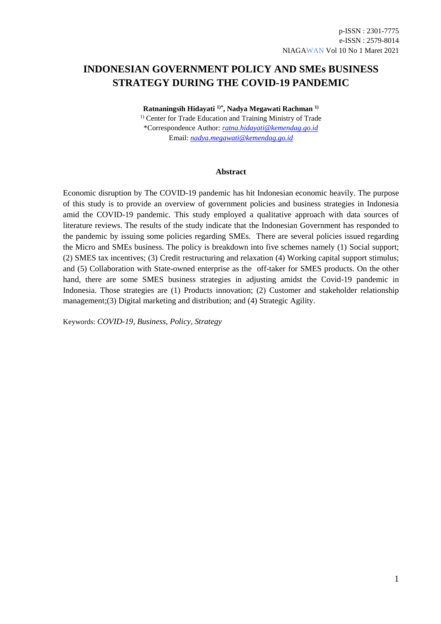## **INDONESIAN GOVERNMENT POLICY AND SMEs BUSINESS STRATEGY DURING THE COVID-19 PANDEMIC**

**Ratnaningsih Hidayati 1)\* , Nadya Megawati Rachman 1)** <sup>1)</sup> Center for Trade Education and Training Ministry of Trade \*Correspondence Author: *[ratna.hidayati@kemendag.go.id](mailto:ratna.hidayati@kemendag.go.id)* Email: *[nadya.megawati@kemendag.go.id](mailto:nadya.megawati@kemendag.go.id)*

#### **Abstract**

Economic disruption by The COVID-19 pandemic has hit Indonesian economic heavily. The purpose of this study is to provide an overview of government policies and business strategies in Indonesia amid the COVID-19 pandemic. This study employed a qualitative approach with data sources of literature reviews. The results of the study indicate that the Indonesian Government has responded to the pandemic by issuing some policies regarding SMEs. There are several policies issued regarding the Micro and SMEs business. The policy is breakdown into five schemes namely (1) Social support; (2) SMES tax incentives; (3) Credit restructuring and relaxation (4) Working capital support stimulus; and (5) Collaboration with State-owned enterprise as the off-taker for SMES products. On the other hand, there are some SMES business strategies in adjusting amidst the Covid-19 pandemic in Indonesia. Those strategies are (1) Products innovation; (2) Customer and stakeholder relationship management;(3) Digital marketing and distribution; and (4) Strategic Agility.

Keywords: *COVID-19, Business, Policy, Strategy*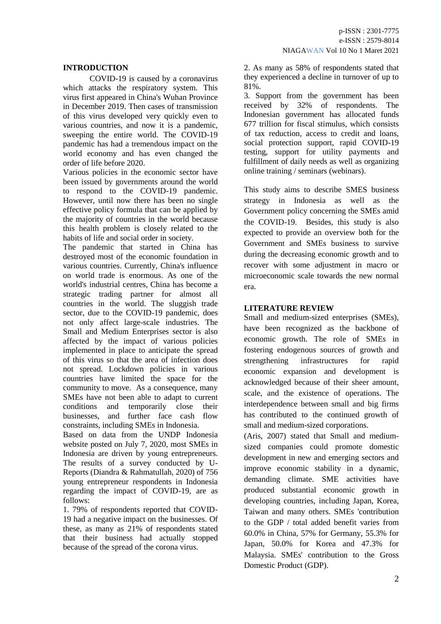## **INTRODUCTION**

COVID-19 is caused by a coronavirus which attacks the respiratory system. This virus first appeared in China's Wuhan Province in December 2019. Then cases of transmission of this virus developed very quickly even to various countries, and now it is a pandemic, sweeping the entire world. The COVID-19 pandemic has had a tremendous impact on the world economy and has even changed the order of life before 2020.

Various policies in the economic sector have been issued by governments around the world to respond to the COVID-19 pandemic. However, until now there has been no single effective policy formula that can be applied by the majority of countries in the world because this health problem is closely related to the habits of life and social order in society.

The pandemic that started in China has destroyed most of the economic foundation in various countries. Currently, China's influence on world trade is enormous. As one of the world's industrial centres, China has become a strategic trading partner for almost all countries in the world. The sluggish trade sector, due to the COVID-19 pandemic, does not only affect large-scale industries. The Small and Medium Enterprises sector is also affected by the impact of various policies implemented in place to anticipate the spread of this virus so that the area of infection does not spread. Lockdown policies in various countries have limited the space for the community to move. As a consequence, many SMEs have not been able to adapt to current conditions and temporarily close their businesses, and further face cash flow constraints, including SMEs in Indonesia.

Based on data from the UNDP Indonesia website posted on July 7, 2020, most SMEs in Indonesia are driven by young entrepreneurs. The results of a survey conducted by U-Reports (Diandra & Rahmatullah, 2020) of 756 young entrepreneur respondents in Indonesia regarding the impact of COVID-19, are as follows:

1. 79% of respondents reported that COVID-19 had a negative impact on the businesses. Of these, as many as 21% of respondents stated that their business had actually stopped because of the spread of the corona virus.

2. As many as 58% of respondents stated that they experienced a decline in turnover of up to 81%.

3. Support from the government has been received by 32% of respondents. The Indonesian government has allocated funds 677 trillion for fiscal stimulus, which consists of tax reduction, access to credit and loans, social protection support, rapid COVID-19 testing, support for utility payments and fulfillment of daily needs as well as organizing online training / seminars (webinars).

This study aims to describe SMES business strategy in Indonesia as well as the Government policy concerning the SMEs amid the COVID-19. Besides, this study is also expected to provide an overview both for the Government and SMEs business to survive during the decreasing economic growth and to recover with some adjustment in macro or microeconomic scale towards the new normal era.

### **LITERATURE REVIEW**

Small and medium-sized enterprises (SMEs), have been recognized as the backbone of economic growth. The role of SMEs in fostering endogenous sources of growth and strengthening infrastructures for rapid economic expansion and development is acknowledged because of their sheer amount, scale, and the existence of operations. The interdependence between small and big firms has contributed to the continued growth of small and medium-sized corporations.

(Aris, 2007) stated that Small and mediumsized companies could promote domestic development in new and emerging sectors and improve economic stability in a dynamic, demanding climate. SME activities have produced substantial economic growth in developing countries, including Japan, Korea, Taiwan and many others. SMEs 'contribution to the GDP / total added benefit varies from 60.0% in China, 57% for Germany, 55.3% for Japan, 50.0% for Korea and 47.3% for Malaysia. SMEs' contribution to the Gross Domestic Product (GDP).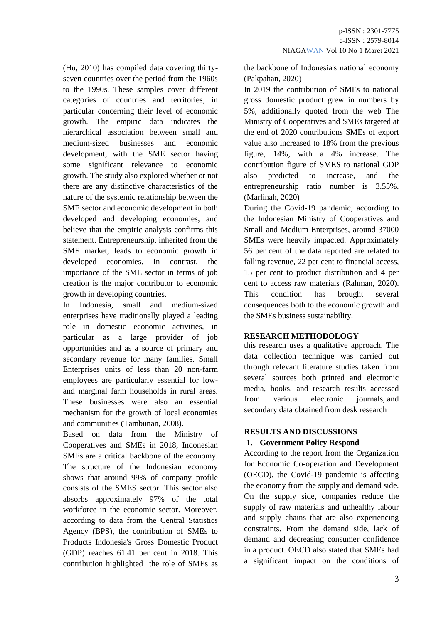(Hu, 2010) has compiled data covering thirtyseven countries over the period from the 1960s to the 1990s. These samples cover different categories of countries and territories, in particular concerning their level of economic growth. The empiric data indicates the hierarchical association between small and medium-sized businesses and economic development, with the SME sector having some significant relevance to economic growth. The study also explored whether or not there are any distinctive characteristics of the nature of the systemic relationship between the SME sector and economic development in both developed and developing economies, and believe that the empiric analysis confirms this statement. Entrepreneurship, inherited from the SME market, leads to economic growth in developed economies. In contrast, the importance of the SME sector in terms of job creation is the major contributor to economic growth in developing countries.

In Indonesia, small and medium-sized enterprises have traditionally played a leading role in domestic economic activities, in particular as a large provider of job opportunities and as a source of primary and secondary revenue for many families. Small Enterprises units of less than 20 non-farm employees are particularly essential for lowand marginal farm households in rural areas. These businesses were also an essential mechanism for the growth of local economies and communities (Tambunan, 2008).

Based on data from the Ministry of Cooperatives and SMEs in 2018, Indonesian SMEs are a critical backbone of the economy. The structure of the Indonesian economy shows that around 99% of company profile consists of the SMES sector. This sector also absorbs approximately 97% of the total workforce in the economic sector. Moreover, according to data from the Central Statistics Agency (BPS), the contribution of SMEs to Products Indonesia's Gross Domestic Product (GDP) reaches 61.41 per cent in 2018. This contribution highlighted the role of SMEs as the backbone of Indonesia's national economy (Pakpahan, 2020)

In 2019 the contribution of SMEs to national gross domestic product grew in numbers by 5%, additionally quoted from the web The Ministry of Cooperatives and SMEs targeted at the end of 2020 contributions SMEs of export value also increased to 18% from the previous figure, 14%, with a 4% increase. The contribution figure of SMES to national GDP also predicted to increase, and the entrepreneurship ratio number is 3.55%. (Marlinah, 2020)

During the Covid-19 pandemic, according to the Indonesian Ministry of Cooperatives and Small and Medium Enterprises, around 37000 SMEs were heavily impacted. Approximately 56 per cent of the data reported are related to falling revenue, 22 per cent to financial access, 15 per cent to product distribution and 4 per cent to access raw materials (Rahman, 2020). This condition has brought several consequences both to the economic growth and the SMEs business sustainability.

## **RESEARCH METHODOLOGY**

this research uses a qualitative approach. The data collection technique was carried out through relevant literature studies taken from several sources both printed and electronic media, books, and research results accessed from various electronic journals,.and secondary data obtained from desk research

# **RESULTS AND DISCUSSIONS**

## **1. Government Policy Respond**

According to the report from the Organization for Economic Co-operation and Development (OECD), the Covid-19 pandemic is affecting the economy from the supply and demand side. On the supply side, companies reduce the supply of raw materials and unhealthy labour and supply chains that are also experiencing constraints. From the demand side, lack of demand and decreasing consumer confidence in a product. OECD also stated that SMEs had a significant impact on the conditions of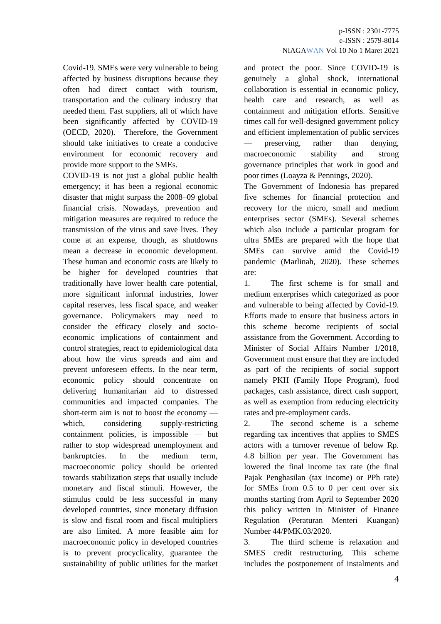Covid-19. SMEs were very vulnerable to being affected by business disruptions because they often had direct contact with tourism, transportation and the culinary industry that needed them. Fast suppliers, all of which have been significantly affected by COVID-19 (OECD, 2020). Therefore, the Government should take initiatives to create a conducive environment for economic recovery and provide more support to the SMEs.

COVID-19 is not just a global public health emergency; it has been a regional economic disaster that might surpass the 2008–09 global financial crisis. Nowadays, prevention and mitigation measures are required to reduce the transmission of the virus and save lives. They come at an expense, though, as shutdowns mean a decrease in economic development. These human and economic costs are likely to be higher for developed countries that traditionally have lower health care potential, more significant informal industries, lower capital reserves, less fiscal space, and weaker governance. Policymakers may need to consider the efficacy closely and socioeconomic implications of containment and control strategies, react to epidemiological data about how the virus spreads and aim and prevent unforeseen effects. In the near term, economic policy should concentrate on delivering humanitarian aid to distressed communities and impacted companies. The short-term aim is not to boost the economy which, considering supply-restricting containment policies, is impossible — but rather to stop widespread unemployment and bankruptcies. In the medium term, macroeconomic policy should be oriented towards stabilization steps that usually include monetary and fiscal stimuli. However, the stimulus could be less successful in many developed countries, since monetary diffusion is slow and fiscal room and fiscal multipliers are also limited. A more feasible aim for macroeconomic policy in developed countries is to prevent procyclicality, guarantee the sustainability of public utilities for the market and protect the poor. Since COVID-19 is genuinely a global shock, international collaboration is essential in economic policy, health care and research, as well as containment and mitigation efforts. Sensitive times call for well-designed government policy and efficient implementation of public services — preserving, rather than denying, macroeconomic stability and strong governance principles that work in good and poor times (Loayza & Pennings, 2020).

The Government of Indonesia has prepared five schemes for financial protection and recovery for the micro, small and medium enterprises sector (SMEs). Several schemes which also include a particular program for ultra SMEs are prepared with the hope that SMEs can survive amid the Covid-19 pandemic (Marlinah, 2020). These schemes are:

1. The first scheme is for small and medium enterprises which categorized as poor and vulnerable to being affected by Covid-19. Efforts made to ensure that business actors in this scheme become recipients of social assistance from the Government. According to Minister of Social Affairs Number 1/2018, Government must ensure that they are included as part of the recipients of social support namely PKH (Family Hope Program), food packages, cash assistance, direct cash support, as well as exemption from reducing electricity rates and pre-employment cards.

2. The second scheme is a scheme regarding tax incentives that applies to SMES actors with a turnover revenue of below Rp. 4.8 billion per year. The Government has lowered the final income tax rate (the final Pajak Penghasilan (tax income) or PPh rate) for SMEs from 0.5 to 0 per cent over six months starting from April to September 2020 this policy written in Minister of Finance Regulation (Peraturan Menteri Kuangan) Number 44/PMK.03/2020.

3. The third scheme is relaxation and SMES credit restructuring. This scheme includes the postponement of instalments and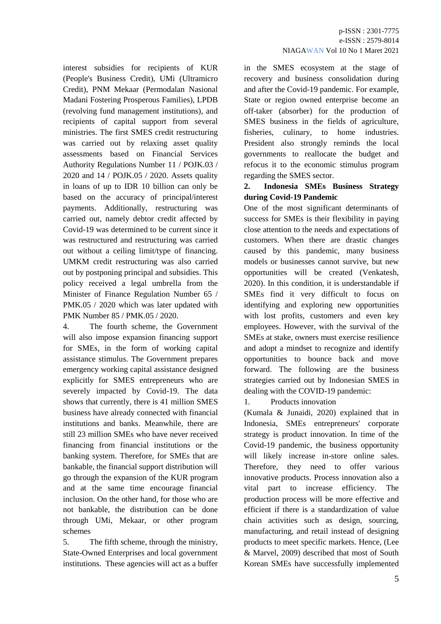interest subsidies for recipients of KUR (People's Business Credit), UMi (Ultramicro Credit), PNM Mekaar (Permodalan Nasional Madani Fostering Prosperous Families), LPDB (revolving fund management institutions), and recipients of capital support from several ministries. The first SMES credit restructuring was carried out by relaxing asset quality assessments based on Financial Services Authority Regulations Number 11 / POJK.03 / 2020 and 14 / POJK.05 / 2020. Assets quality in loans of up to IDR 10 billion can only be based on the accuracy of principal/interest payments. Additionally, restructuring was carried out, namely debtor credit affected by Covid-19 was determined to be current since it was restructured and restructuring was carried out without a ceiling limit/type of financing. UMKM credit restructuring was also carried out by postponing principal and subsidies. This policy received a legal umbrella from the Minister of Finance Regulation Number 65 / PMK.05 / 2020 which was later updated with PMK Number 85 / PMK.05 / 2020.

4. The fourth scheme, the Government will also impose expansion financing support for SMEs, in the form of working capital assistance stimulus. The Government prepares emergency working capital assistance designed explicitly for SMES entrepreneurs who are severely impacted by Covid-19. The data shows that currently, there is 41 million SMES business have already connected with financial institutions and banks. Meanwhile, there are still 23 million SMEs who have never received financing from financial institutions or the banking system. Therefore, for SMEs that are bankable, the financial support distribution will go through the expansion of the KUR program and at the same time encourage financial inclusion. On the other hand, for those who are not bankable, the distribution can be done through UMi, Mekaar, or other program schemes

5. The fifth scheme, through the ministry, State-Owned Enterprises and local government institutions. These agencies will act as a buffer in the SMES ecosystem at the stage of recovery and business consolidation during and after the Covid-19 pandemic. For example, State or region owned enterprise become an off-taker (absorber) for the production of SMES business in the fields of agriculture, fisheries, culinary, to home industries. President also strongly reminds the local governments to reallocate the budget and refocus it to the economic stimulus program regarding the SMES sector.

## **2. Indonesia SMEs Business Strategy during Covid-19 Pandemic**

One of the most significant determinants of success for SMEs is their flexibility in paying close attention to the needs and expectations of customers. When there are drastic changes caused by this pandemic, many business models or businesses cannot survive, but new opportunities will be created (Venkatesh, 2020). In this condition, it is understandable if SMEs find it very difficult to focus on identifying and exploring new opportunities with lost profits, customers and even key employees. However, with the survival of the SMEs at stake, owners must exercise resilience and adopt a mindset to recognize and identify opportunities to bounce back and move forward. The following are the business strategies carried out by Indonesian SMES in dealing with the COVID-19 pandemic:

1. Products innovation

(Kumala & Junaidi, 2020) explained that in Indonesia, SMEs entrepreneurs' corporate strategy is product innovation. In time of the Covid-19 pandemic, the business opportunity will likely increase in-store online sales. Therefore, they need to offer various innovative products. Process innovation also a vital part to increase efficiency. The production process will be more effective and efficient if there is a standardization of value chain activities such as design, sourcing, manufacturing, and retail instead of designing products to meet specific markets. Hence, (Lee & Marvel, 2009) described that most of South Korean SMEs have successfully implemented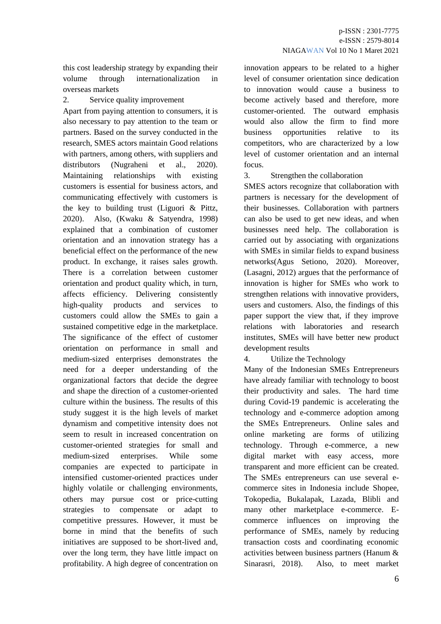this cost leadership strategy by expanding their volume through internationalization in overseas markets

2. Service quality improvement

Apart from paying attention to consumers, it is also necessary to pay attention to the team or partners. Based on the survey conducted in the research, SMES actors maintain Good relations with partners, among others, with suppliers and distributors (Nugraheni et al., 2020). Maintaining relationships with existing customers is essential for business actors, and communicating effectively with customers is the key to building trust (Liguori & Pittz, 2020). Also, (Kwaku & Satyendra, 1998) explained that a combination of customer orientation and an innovation strategy has a beneficial effect on the performance of the new product. In exchange, it raises sales growth. There is a correlation between customer orientation and product quality which, in turn, affects efficiency. Delivering consistently high-quality products and services to customers could allow the SMEs to gain a sustained competitive edge in the marketplace. The significance of the effect of customer orientation on performance in small and medium-sized enterprises demonstrates the need for a deeper understanding of the organizational factors that decide the degree and shape the direction of a customer-oriented culture within the business. The results of this study suggest it is the high levels of market dynamism and competitive intensity does not seem to result in increased concentration on customer-oriented strategies for small and medium-sized enterprises. While some companies are expected to participate in intensified customer-oriented practices under highly volatile or challenging environments, others may pursue cost or price-cutting strategies to compensate or adapt to competitive pressures. However, it must be borne in mind that the benefits of such initiatives are supposed to be short-lived and, over the long term, they have little impact on profitability. A high degree of concentration on

innovation appears to be related to a higher level of consumer orientation since dedication to innovation would cause a business to become actively based and therefore, more customer-oriented. The outward emphasis would also allow the firm to find more business opportunities relative to its competitors, who are characterized by a low level of customer orientation and an internal focus.

3. Strengthen the collaboration

SMES actors recognize that collaboration with partners is necessary for the development of their businesses. Collaboration with partners can also be used to get new ideas, and when businesses need help. The collaboration is carried out by associating with organizations with SMEs in similar fields to expand business networks(Agus Setiono, 2020). Moreover, (Lasagni, 2012) argues that the performance of innovation is higher for SMEs who work to strengthen relations with innovative providers, users and customers. Also, the findings of this paper support the view that, if they improve relations with laboratories and research institutes, SMEs will have better new product development results

4. Utilize the Technology

Many of the Indonesian SMEs Entrepreneurs have already familiar with technology to boost their productivity and sales. The hard time during Covid-19 pandemic is accelerating the technology and e-commerce adoption among the SMEs Entrepreneurs. Online sales and online marketing are forms of utilizing technology. Through e-commerce, a new digital market with easy access, more transparent and more efficient can be created. The SMEs entrepreneurs can use several ecommerce sites in Indonesia include Shopee, Tokopedia, Bukalapak, Lazada, Blibli and many other marketplace e-commerce. Ecommerce influences on improving the performance of SMEs, namely by reducing transaction costs and coordinating economic activities between business partners (Hanum & Sinarasri, 2018). Also, to meet market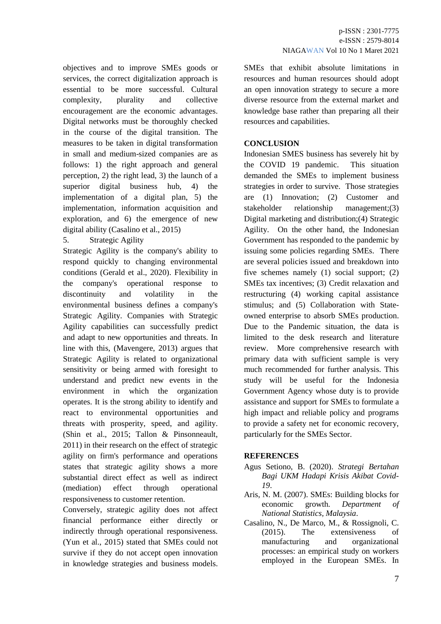objectives and to improve SMEs goods or services, the correct digitalization approach is essential to be more successful. Cultural complexity, plurality and collective encouragement are the economic advantages. Digital networks must be thoroughly checked in the course of the digital transition. The measures to be taken in digital transformation in small and medium-sized companies are as follows: 1) the right approach and general perception, 2) the right lead, 3) the launch of a superior digital business hub, 4) the implementation of a digital plan, 5) the implementation, information acquisition and exploration, and 6) the emergence of new digital ability (Casalino et al., 2015)

## 5. Strategic Agility

Strategic Agility is the company's ability to respond quickly to changing environmental conditions (Gerald et al., 2020). Flexibility in the company's operational response to discontinuity and volatility in the environmental business defines a company's Strategic Agility. Companies with Strategic Agility capabilities can successfully predict and adapt to new opportunities and threats. In line with this, (Mavengere, 2013) argues that Strategic Agility is related to organizational sensitivity or being armed with foresight to understand and predict new events in the environment in which the organization operates. It is the strong ability to identify and react to environmental opportunities and threats with prosperity, speed, and agility. (Shin et al., 2015; Tallon & Pinsonneault, 2011) in their research on the effect of strategic agility on firm's performance and operations states that strategic agility shows a more substantial direct effect as well as indirect (mediation) effect through operational responsiveness to customer retention.

Conversely, strategic agility does not affect financial performance either directly or indirectly through operational responsiveness. (Yun et al., 2015) stated that SMEs could not survive if they do not accept open innovation in knowledge strategies and business models.

SMEs that exhibit absolute limitations in resources and human resources should adopt an open innovation strategy to secure a more diverse resource from the external market and knowledge base rather than preparing all their resources and capabilities.

## **CONCLUSION**

Indonesian SMES business has severely hit by the COVID 19 pandemic. This situation demanded the SMEs to implement business strategies in order to survive. Those strategies are (1) Innovation; (2) Customer and stakeholder relationship management;(3) Digital marketing and distribution;(4) Strategic Agility. On the other hand, the Indonesian Government has responded to the pandemic by issuing some policies regarding SMEs. There are several policies issued and breakdown into five schemes namely (1) social support; (2) SMEs tax incentives; (3) Credit relaxation and restructuring (4) working capital assistance stimulus; and (5) Collaboration with Stateowned enterprise to absorb SMEs production. Due to the Pandemic situation, the data is limited to the desk research and literature review. More comprehensive research with primary data with sufficient sample is very much recommended for further analysis. This study will be useful for the Indonesia Government Agency whose duty is to provide assistance and support for SMEs to formulate a high impact and reliable policy and programs to provide a safety net for economic recovery, particularly for the SMEs Sector.

## **REFERENCES**

- Agus Setiono, B. (2020). *Strategi Bertahan Bagi UKM Hadapi Krisis Akibat Covid-19*.
- Aris, N. M. (2007). SMEs: Building blocks for economic growth. *Department of National Statistics, Malaysia*.
- Casalino, N., De Marco, M., & Rossignoli, C. (2015). The extensiveness of manufacturing and organizational processes: an empirical study on workers employed in the European SMEs. In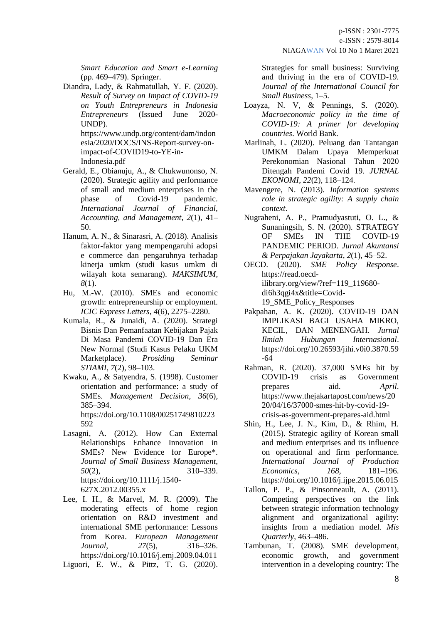*Smart Education and Smart e-Learning* (pp. 469–479). Springer.

Diandra, Lady, & Rahmatullah, Y. F. (2020). *Result of Survey on Impact of COVID-19 on Youth Entrepreneurs in Indonesia Entrepreneurs* (Issued June 2020- UNDP).

https://www.undp.org/content/dam/indon esia/2020/DOCS/INS-Report-survey-onimpact-of-COVID19-to-YE-in-Indonesia.pdf

- Gerald, E., Obianuju, A., & Chukwunonso, N. (2020). Strategic agility and performance of small and medium enterprises in the phase of Covid-19 pandemic. *International Journal of Financial, Accounting, and Management*, *2*(1), 41– 50.
- Hanum, A. N., & Sinarasri, A. (2018). Analisis faktor-faktor yang mempengaruhi adopsi e commerce dan pengaruhnya terhadap kinerja umkm (studi kasus umkm di wilayah kota semarang). *MAKSIMUM*, *8*(1).
- Hu, M.-W. (2010). SMEs and economic growth: entrepreneurship or employment. *ICIC Express Letters*, *4*(6), 2275–2280.
- Kumala, R., & Junaidi, A. (2020). Strategi Bisnis Dan Pemanfaatan Kebijakan Pajak Di Masa Pandemi COVID-19 Dan Era New Normal (Studi Kasus Pelaku UKM Marketplace). *Prosiding Seminar STIAMI*, *7*(2), 98–103.
- Kwaku, A., & Satyendra, S. (1998). Customer orientation and performance: a study of SMEs. *Management Decision*, *36*(6), 385–394. https://doi.org/10.1108/00251749810223

592 Lasagni, A. (2012). How Can External Relationships Enhance Innovation in SMEs? New Evidence for Europe\*. *Journal of Small Business Management*, *50*(2), 310–339. https://doi.org/10.1111/j.1540-

627X.2012.00355.x

- Lee, I. H., & Marvel, M. R. (2009). The moderating effects of home region orientation on R&D investment and international SME performance: Lessons from Korea. *European Management Journal*, *27*(5), 316–326. https://doi.org/10.1016/j.emj.2009.04.011
- Liguori, E. W., & Pittz, T. G. (2020).

Strategies for small business: Surviving and thriving in the era of COVID-19. *Journal of the International Council for Small Business*, 1–5.

- Loayza, N. V, & Pennings, S. (2020). *Macroeconomic policy in the time of COVID-19: A primer for developing countries*. World Bank.
- Marlinah, L. (2020). Peluang dan Tantangan UMKM Dalam Upaya Memperkuat Perekonomian Nasional Tahun 2020 Ditengah Pandemi Covid 19. *JURNAL EKONOMI*, *22*(2), 118–124.
- Mavengere, N. (2013). *Information systems role in strategic agility: A supply chain context*.
- Nugraheni, A. P., Pramudyastuti, O. L., & Sunaningsih, S. N. (2020). STRATEGY<br>OF SMEs IN THE COVID-19 OF SMEs IN THE COVID-19 PANDEMIC PERIOD. *Jurnal Akuntansi & Perpajakan Jayakarta*, *2*(1), 45–52.
- OECD. (2020). *SME Policy Response*. https://read.oecdilibrary.org/view/?ref=119\_119680 di6h3qgi4x&title=Covid-19\_SME\_Policy\_Responses
- Pakpahan, A. K. (2020). COVID-19 DAN IMPLIKASI BAGI USAHA MIKRO, KECIL, DAN MENENGAH. *Jurnal Ilmiah Hubungan Internasional*. https://doi.org/10.26593/jihi.v0i0.3870.59 -64
- Rahman, R. (2020). 37,000 SMEs hit by COVID-19 crisis as Government prepares aid. *April*. https://www.thejakartapost.com/news/20 20/04/16/37000-smes-hit-by-covid-19 crisis-as-government-prepares-aid.html
- Shin, H., Lee, J. N., Kim, D., & Rhim, H. (2015). Strategic agility of Korean small and medium enterprises and its influence on operational and firm performance. *International Journal of Production Economics*, *168*, 181–196. https://doi.org/10.1016/j.ijpe.2015.06.015
- Tallon, P. P., & Pinsonneault, A. (2011). Competing perspectives on the link between strategic information technology alignment and organizational agility: insights from a mediation model. *Mis Quarterly*, 463–486.
- Tambunan, T. (2008). SME development, economic growth, and government intervention in a developing country: The